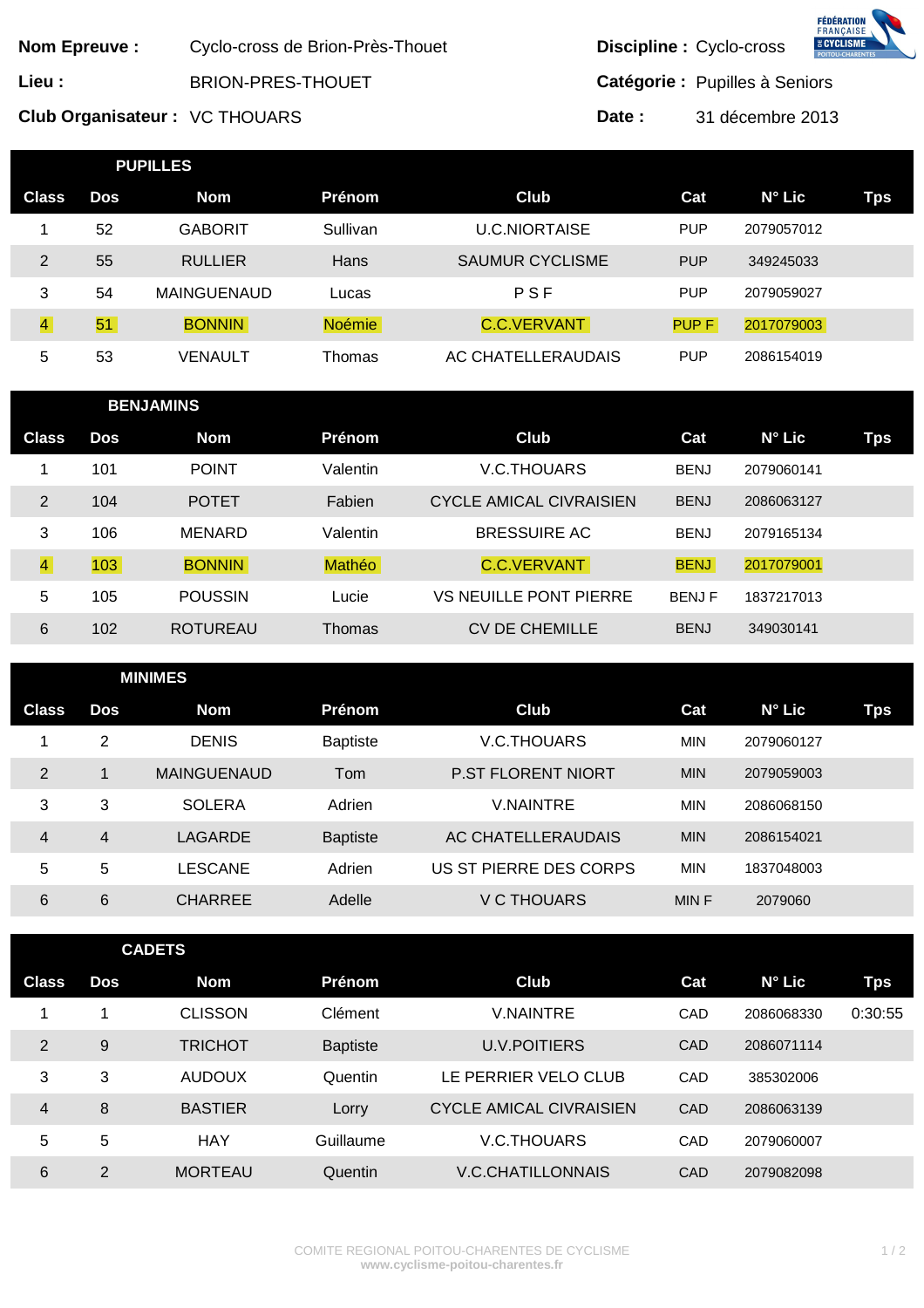|                               | <b>Nom Epreuve:</b> |                    |                                                              |                                | Discipline : Cyclo-cross |                                | <b>FÉDÉRATION</b><br><b>FRANÇAISE</b><br><b>ACYCLISME</b> |  |  |
|-------------------------------|---------------------|--------------------|--------------------------------------------------------------|--------------------------------|--------------------------|--------------------------------|-----------------------------------------------------------|--|--|
| Lieu :                        |                     |                    | Cyclo-cross de Brion-Près-Thouet<br><b>BRION-PRES-THOUET</b> |                                |                          | Catégorie : Pupilles à Seniors |                                                           |  |  |
| Club Organisateur: VC THOUARS |                     |                    |                                                              |                                | 31 décembre 2013         |                                |                                                           |  |  |
|                               |                     |                    |                                                              | Date:                          |                          |                                |                                                           |  |  |
|                               |                     | <b>PUPILLES</b>    |                                                              |                                |                          |                                |                                                           |  |  |
| <b>Class</b>                  | <b>Dos</b>          | <b>Nom</b>         | Prénom                                                       | Club                           | Cat                      | N° Lic                         | <b>Tps</b>                                                |  |  |
| 1                             | 52                  | <b>GABORIT</b>     | Sullivan                                                     | <b>U.C.NIORTAISE</b>           | <b>PUP</b>               | 2079057012                     |                                                           |  |  |
| $\overline{2}$                | 55                  | <b>RULLIER</b>     | Hans                                                         | <b>SAUMUR CYCLISME</b>         | <b>PUP</b>               | 349245033                      |                                                           |  |  |
| 3                             | 54                  | <b>MAINGUENAUD</b> | Lucas                                                        | PSF                            | <b>PUP</b>               | 2079059027                     |                                                           |  |  |
| $\overline{4}$                | 51                  | <b>BONNIN</b>      | <b>Noémie</b>                                                | C.C.VERVANT                    | PUP F                    | 2017079003                     |                                                           |  |  |
| 5                             | 53                  | <b>VENAULT</b>     | Thomas                                                       | AC CHATELLERAUDAIS             | <b>PUP</b>               | 2086154019                     |                                                           |  |  |
| <b>BENJAMINS</b>              |                     |                    |                                                              |                                |                          |                                |                                                           |  |  |
| <b>Class</b>                  | <b>Dos</b>          | <b>Nom</b>         | Prénom                                                       | Club                           | Cat                      | N° Lic                         | <b>Tps</b>                                                |  |  |
| 1                             | 101                 | <b>POINT</b>       | Valentin                                                     | V.C.THOUARS                    | <b>BENJ</b>              | 2079060141                     |                                                           |  |  |
| $\overline{2}$                | 104                 | <b>POTET</b>       | Fabien                                                       | <b>CYCLE AMICAL CIVRAISIEN</b> | <b>BENJ</b>              | 2086063127                     |                                                           |  |  |
| 3                             | 106                 | <b>MENARD</b>      | Valentin                                                     | <b>BRESSUIRE AC</b>            | <b>BENJ</b>              | 2079165134                     |                                                           |  |  |
| $\overline{4}$                | 103                 | <b>BONNIN</b>      | Mathéo                                                       | C.C.VERVANT                    | <b>BENJ</b>              | 2017079001                     |                                                           |  |  |
| 5                             | 105                 | <b>POUSSIN</b>     | Lucie                                                        | <b>VS NEUILLE PONT PIERRE</b>  | <b>BENJF</b>             | 1837217013                     |                                                           |  |  |
| 6                             | 102                 | <b>ROTUREAU</b>    | Thomas                                                       | <b>CV DE CHEMILLE</b>          | <b>BENJ</b>              | 349030141                      |                                                           |  |  |
|                               |                     | <b>MINIMES</b>     |                                                              |                                |                          |                                |                                                           |  |  |
| <b>Class</b>                  | <b>Dos</b>          | <b>Nom</b>         | Prénom                                                       | <b>Club</b>                    | Cat                      | N° Lic                         | Tps                                                       |  |  |
| 1                             | $\overline{c}$      | <b>DENIS</b>       | Baptiste                                                     | V.C.THOUARS                    | <b>MIN</b>               | 2079060127                     |                                                           |  |  |
| $\overline{2}$                | $\mathbf{1}$        | MAINGUENAUD        | Tom                                                          | P.ST FLORENT NIORT             | <b>MIN</b>               | 2079059003                     |                                                           |  |  |
| 3                             | 3                   | <b>SOLERA</b>      | Adrien                                                       | <b>V.NAINTRE</b>               | <b>MIN</b>               | 2086068150                     |                                                           |  |  |
| $\overline{4}$                | 4                   | <b>LAGARDE</b>     | <b>Baptiste</b>                                              | AC CHATELLERAUDAIS             | <b>MIN</b>               | 2086154021                     |                                                           |  |  |
| 5                             | 5                   | <b>LESCANE</b>     | Adrien                                                       | US ST PIERRE DES CORPS         | <b>MIN</b>               | 1837048003                     |                                                           |  |  |
| 6                             | 6                   | <b>CHARREE</b>     | Adelle                                                       | <b>V C THOUARS</b>             | MIN F                    | 2079060                        |                                                           |  |  |
| <b>CADETS</b>                 |                     |                    |                                                              |                                |                          |                                |                                                           |  |  |
| <b>Class</b>                  | <b>Dos</b>          | <b>Nom</b>         | Prénom                                                       | Club                           | Cat                      | N° Lic                         | <b>Tps</b>                                                |  |  |
| 1                             | 1                   | <b>CLISSON</b>     | Clément                                                      | <b>V.NAINTRE</b>               | CAD                      | 2086068330                     | 0:30:55                                                   |  |  |
| $\overline{2}$                | $\boldsymbol{9}$    | <b>TRICHOT</b>     | <b>Baptiste</b>                                              | <b>U.V.POITIERS</b>            | CAD                      | 2086071114                     |                                                           |  |  |
| $\mathfrak{S}$                | 3                   | <b>AUDOUX</b>      | Quentin                                                      | LE PERRIER VELO CLUB           | CAD                      | 385302006                      |                                                           |  |  |
| 4                             | 8                   | <b>BASTIER</b>     | Lorry                                                        | <b>CYCLE AMICAL CIVRAISIEN</b> | CAD                      | 2086063139                     |                                                           |  |  |
| 5                             | 5                   | <b>HAY</b>         | Guillaume                                                    | V.C.THOUARS                    | CAD                      | 2079060007                     |                                                           |  |  |
| 6                             | $\overline{2}$      | <b>MORTEAU</b>     | Quentin                                                      | V.C.CHATILLONNAIS              | CAD                      | 2079082098                     |                                                           |  |  |